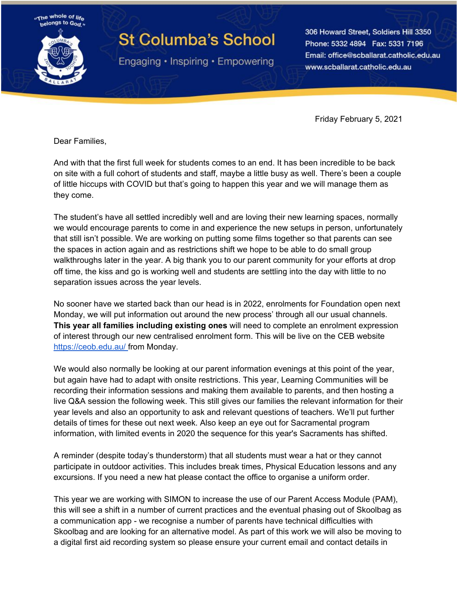

## **St Columba's School**

Engaging • Inspiring • Empowering

306 Howard Street, Soldiers Hill 3350 Phone: 5332 4894 Fax: 5331 7196 Email: office@scballarat.catholic.edu.au www.scballarat.catholic.edu.au

Friday February 5, 2021

Dear Families,

And with that the first full week for students comes to an end. It has been incredible to be back on site with a full cohort of students and staff, maybe a little busy as well. There's been a couple of little hiccups with COVID but that's going to happen this year and we will manage them as they come.

The student's have all settled incredibly well and are loving their new learning spaces, normally we would encourage parents to come in and experience the new setups in person, unfortunately that still isn't possible. We are working on putting some films together so that parents can see the spaces in action again and as restrictions shift we hope to be able to do small group walkthroughs later in the year. A big thank you to our parent community for your efforts at drop off time, the kiss and go is working well and students are settling into the day with little to no separation issues across the year levels.

No sooner have we started back than our head is in 2022, enrolments for Foundation open next Monday, we will put information out around the new process' through all our usual channels. **This year all families including existing ones** will need to complete an enrolment expression of interest through our new centralised enrolment form. This will be live on the CEB website <https://ceob.edu.au/> from Monday.

We would also normally be looking at our parent information evenings at this point of the year, but again have had to adapt with onsite restrictions. This year, Learning Communities will be recording their information sessions and making them available to parents, and then hosting a live Q&A session the following week. This still gives our families the relevant information for their year levels and also an opportunity to ask and relevant questions of teachers. We'll put further details of times for these out next week. Also keep an eye out for Sacramental program information, with limited events in 2020 the sequence for this year's Sacraments has shifted.

A reminder (despite today's thunderstorm) that all students must wear a hat or they cannot participate in outdoor activities. This includes break times, Physical Education lessons and any excursions. If you need a new hat please contact the office to organise a uniform order.

This year we are working with SIMON to increase the use of our Parent Access Module (PAM), this will see a shift in a number of current practices and the eventual phasing out of Skoolbag as a communication app - we recognise a number of parents have technical difficulties with Skoolbag and are looking for an alternative model. As part of this work we will also be moving to a digital first aid recording system so please ensure your current email and contact details in